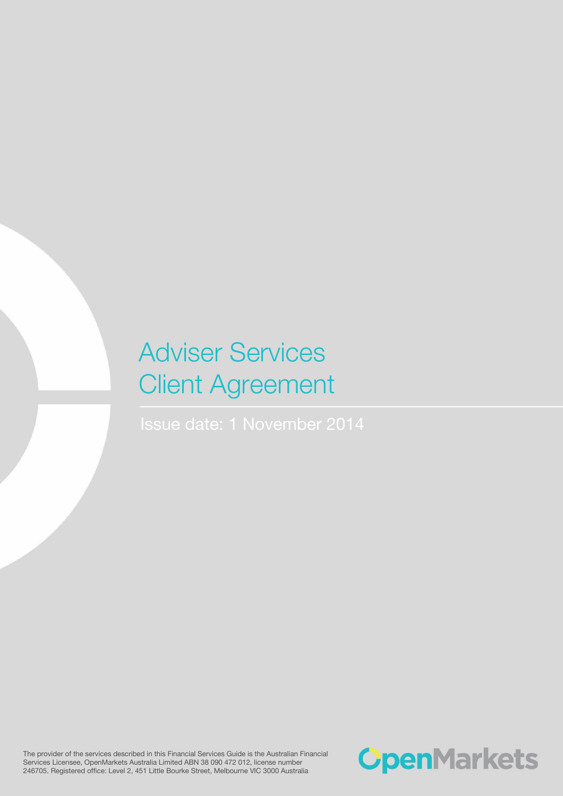# Adviser Services Client Agreement

The provider of the services described in this Financial Services Guide is the Australian Financial Services Licensee, OpenMarkets Australia Limited ABN 38 090 472 012, license number 246705. Registered office: Level 2, 451 Little Bourke Street, Melbourne VIC 3000 Australia

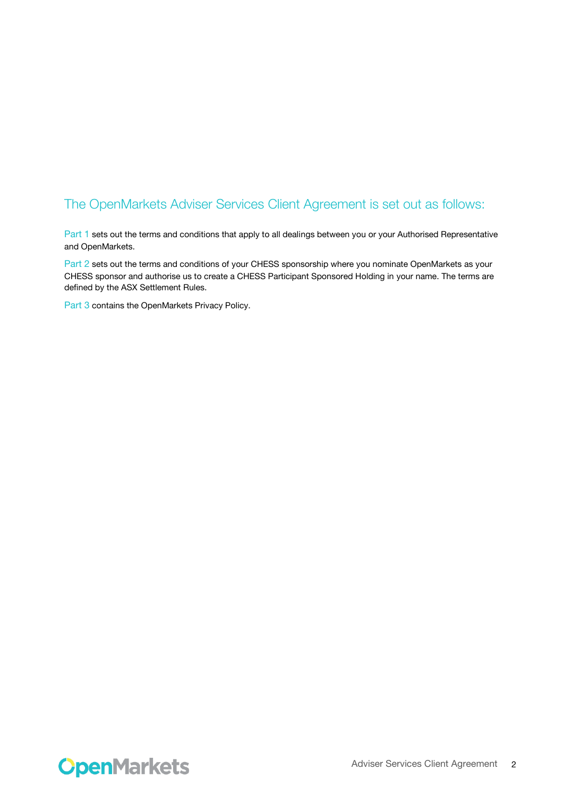# The OpenMarkets Adviser Services Client Agreement is set out as follows:

Part 1 sets out the terms and conditions that apply to all dealings between you or your Authorised Representative and OpenMarkets.

Part 2 sets out the terms and conditions of your CHESS sponsorship where you nominate OpenMarkets as your CHESS sponsor and authorise us to create a CHESS Participant Sponsored Holding in your name. The terms are defined by the ASX Settlement Rules.

Part 3 contains the OpenMarkets Privacy Policy.

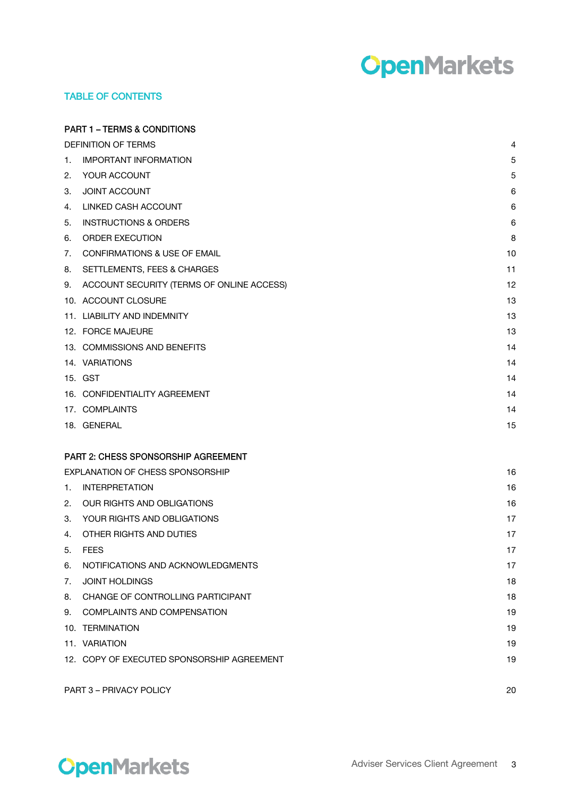# **OpenMarkets**

# TABLE OF CONTENTS

|                                  | <b>PART 1 – TERMS &amp; CONDITIONS</b>     |    |
|----------------------------------|--------------------------------------------|----|
|                                  | <b>DEFINITION OF TERMS</b>                 | 4  |
| 1.                               | <b>IMPORTANT INFORMATION</b>               | 5  |
| 2.                               | YOUR ACCOUNT                               | 5  |
| 3.                               | <b>JOINT ACCOUNT</b>                       | 6  |
| 4.                               | LINKED CASH ACCOUNT                        | 6  |
| 5.                               | <b>INSTRUCTIONS &amp; ORDERS</b>           | 6  |
| 6.                               | <b>ORDER EXECUTION</b>                     | 8  |
| 7.                               | <b>CONFIRMATIONS &amp; USE OF EMAIL</b>    | 10 |
| 8.                               | SETTLEMENTS, FEES & CHARGES                | 11 |
| 9.                               | ACCOUNT SECURITY (TERMS OF ONLINE ACCESS)  | 12 |
|                                  | 10. ACCOUNT CLOSURE                        | 13 |
|                                  | 11. LIABILITY AND INDEMNITY                | 13 |
|                                  | 12. FORCE MAJEURE                          | 13 |
|                                  | 13. COMMISSIONS AND BENEFITS               | 14 |
|                                  | 14. VARIATIONS                             | 14 |
|                                  | 15. GST                                    | 14 |
|                                  | 16. CONFIDENTIALITY AGREEMENT              | 14 |
|                                  | 17. COMPLAINTS                             | 14 |
|                                  | 18. GENERAL                                | 15 |
|                                  | <b>PART 2: CHESS SPONSORSHIP AGREEMENT</b> |    |
| EXPLANATION OF CHESS SPONSORSHIP |                                            | 16 |
| 1.                               | <b>INTERPRETATION</b>                      | 16 |
| 2.                               | OUR RIGHTS AND OBLIGATIONS                 | 16 |
| 3.                               | YOUR RIGHTS AND OBLIGATIONS                | 17 |
| 4.                               | OTHER RIGHTS AND DUTIES                    | 17 |
| 5.                               | FEES                                       | 17 |
| 6.                               | NOTIFICATIONS AND ACKNOWLEDGMENTS          | 17 |
| 7.                               | <b>JOINT HOLDINGS</b>                      | 18 |
|                                  | 8. CHANGE OF CONTROLLING PARTICIPANT       | 18 |
| 9.                               | <b>COMPLAINTS AND COMPENSATION</b>         | 19 |
|                                  | 10. TERMINATION                            | 19 |
|                                  | 11. VARIATION                              | 19 |
|                                  | 12. COPY OF EXECUTED SPONSORSHIP AGREEMENT | 19 |
|                                  | PART 3 - PRIVACY POLICY                    | 20 |

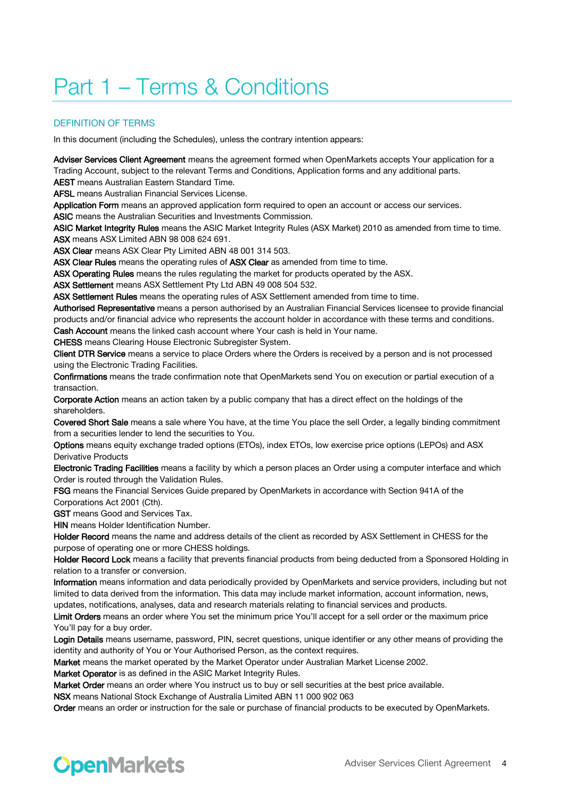# Part 1 – Terms & Conditions

# DEFINITION OF TERMS

In this document (including the Schedules), unless the contrary intention appears:

Adviser Services Client Agreement means the agreement formed when OpenMarkets accepts Your application for a Trading Account, subject to the relevant Terms and Conditions, Application forms and any additional parts. AEST means Australian Eastern Standard Time.

AFSL means Australian Financial Services License.

Application Form means an approved application form required to open an account or access our services. ASIC means the Australian Securities and Investments Commission.

ASIC Market Integrity Rules means the ASIC Market Integrity Rules (ASX Market) 2010 as amended from time to time. ASX means ASX Limited ABN 98 008 624 691.

ASX Clear means ASX Clear Pty Limited ABN 48 001 314 503.

ASX Clear Rules means the operating rules of ASX Clear as amended from time to time.

ASX Operating Rules means the rules regulating the market for products operated by the ASX.

ASX Settlement means ASX Settlement Pty Ltd ABN 49 008 504 532.

ASX Settlement Rules means the operating rules of ASX Settlement amended from time to time.

Authorised Representative means a person authorised by an Australian Financial Services licensee to provide financial products and/or financial advice who represents the account holder in accordance with these terms and conditions. Cash Account means the linked cash account where Your cash is held in Your name.

CHESS means Clearing House Electronic Subregister System.

Client DTR Service means a service to place Orders where the Orders is received by a person and is not processed using the Electronic Trading Facilities.

Confirmations means the trade confirmation note that OpenMarkets send You on execution or partial execution of a transaction.

Corporate Action means an action taken by a public company that has a direct effect on the holdings of the shareholders.

Covered Short Sale means a sale where You have, at the time You place the sell Order, a legally binding commitment from a securities lender to lend the securities to You.

Options means equity exchange traded options (ETOs), index ETOs, low exercise price options (LEPOs) and ASX Derivative Products

Electronic Trading Facilities means a facility by which a person places an Order using a computer interface and which Order is routed through the Validation Rules.

FSG means the Financial Services Guide prepared by OpenMarkets in accordance with Section 941A of the Corporations Act 2001 (Cth).

GST means Good and Services Tax.

**HIN** means Holder Identification Number.

Holder Record means the name and address details of the client as recorded by ASX Settlement in CHESS for the purpose of operating one or more CHESS holdings.

Holder Record Lock means a facility that prevents financial products from being deducted from a Sponsored Holding in relation to a transfer or conversion.

Information means information and data periodically provided by OpenMarkets and service providers, including but not limited to data derived from the information. This data may include market information, account information, news, updates, notifications, analyses, data and research materials relating to financial services and products.

Limit Orders means an order where You set the minimum price You'll accept for a sell order or the maximum price You'll pay for a buy order.

Login Details means username, password, PIN, secret questions, unique identifier or any other means of providing the identity and authority of You or Your Authorised Person, as the context requires.

Market means the market operated by the Market Operator under Australian Market License 2002.

Market Operator is as defined in the ASIC Market Integrity Rules.

Market Order means an order where You instruct us to buy or sell securities at the best price available.

NSX means National Stock Exchange of Australia Limited ABN 11 000 902 063

Order means an order or instruction for the sale or purchase of financial products to be executed by OpenMarkets.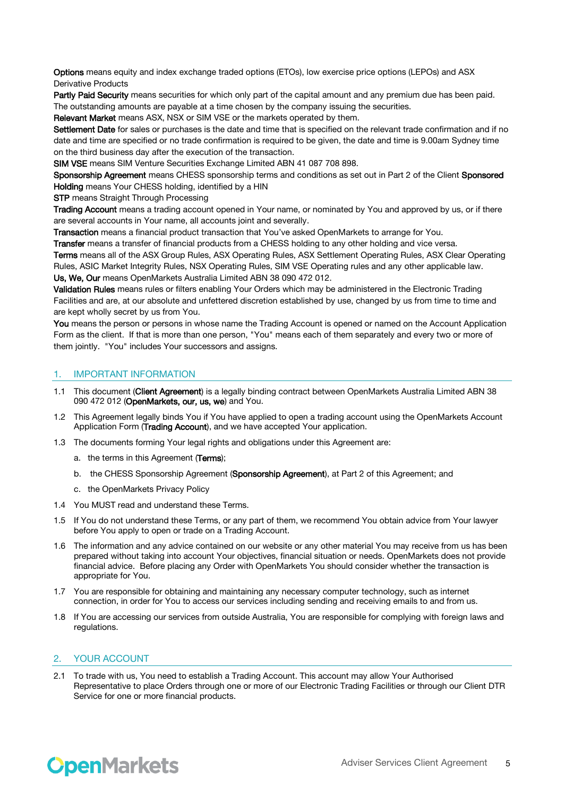Options means equity and index exchange traded options (ETOs), low exercise price options (LEPOs) and ASX Derivative Products

Partly Paid Security means securities for which only part of the capital amount and any premium due has been paid. The outstanding amounts are payable at a time chosen by the company issuing the securities.

Relevant Market means ASX, NSX or SIM VSE or the markets operated by them.

Settlement Date for sales or purchases is the date and time that is specified on the relevant trade confirmation and if no date and time are specified or no trade confirmation is required to be given, the date and time is 9.00am Sydney time on the third business day after the execution of the transaction.

SIM VSE means SIM Venture Securities Exchange Limited ABN 41 087 708 898.

Sponsorship Agreement means CHESS sponsorship terms and conditions as set out in Part 2 of the Client Sponsored Holding means Your CHESS holding, identified by a HIN

**STP** means Straight Through Processing

Trading Account means a trading account opened in Your name, or nominated by You and approved by us, or if there are several accounts in Your name, all accounts joint and severally.

Transaction means a financial product transaction that You've asked OpenMarkets to arrange for You.

Transfer means a transfer of financial products from a CHESS holding to any other holding and vice versa.

Terms means all of the ASX Group Rules, ASX Operating Rules, ASX Settlement Operating Rules, ASX Clear Operating Rules, ASIC Market Integrity Rules, NSX Operating Rules, SIM VSE Operating rules and any other applicable law. Us, We, Our means OpenMarkets Australia Limited ABN 38 090 472 012.

Validation Rules means rules or filters enabling Your Orders which may be administered in the Electronic Trading Facilities and are, at our absolute and unfettered discretion established by use, changed by us from time to time and are kept wholly secret by us from You.

You means the person or persons in whose name the Trading Account is opened or named on the Account Application Form as the client. If that is more than one person, "You" means each of them separately and every two or more of them jointly. "You" includes Your successors and assigns.

#### 1. IMPORTANT INFORMATION

- 1.1 This document (Client Agreement) is a legally binding contract between OpenMarkets Australia Limited ABN 38 090 472 012 (OpenMarkets, our, us, we) and You.
- 1.2 This Agreement legally binds You if You have applied to open a trading account using the OpenMarkets Account Application Form (Trading Account), and we have accepted Your application.
- 1.3 The documents forming Your legal rights and obligations under this Agreement are:
	- a. the terms in this Agreement (Terms);
	- b. the CHESS Sponsorship Agreement (Sponsorship Agreement), at Part 2 of this Agreement; and
	- c. the OpenMarkets Privacy Policy
- 1.4 You MUST read and understand these Terms.
- 1.5 If You do not understand these Terms, or any part of them, we recommend You obtain advice from Your lawyer before You apply to open or trade on a Trading Account.
- 1.6 The information and any advice contained on our website or any other material You may receive from us has been prepared without taking into account Your objectives, financial situation or needs. OpenMarkets does not provide financial advice. Before placing any Order with OpenMarkets You should consider whether the transaction is appropriate for You.
- 1.7 You are responsible for obtaining and maintaining any necessary computer technology, such as internet connection, in order for You to access our services including sending and receiving emails to and from us.
- 1.8 If You are accessing our services from outside Australia, You are responsible for complying with foreign laws and regulations.

# 2. YOUR ACCOUNT

2.1 To trade with us, You need to establish a Trading Account. This account may allow Your Authorised Representative to place Orders through one or more of our Electronic Trading Facilities or through our Client DTR Service for one or more financial products.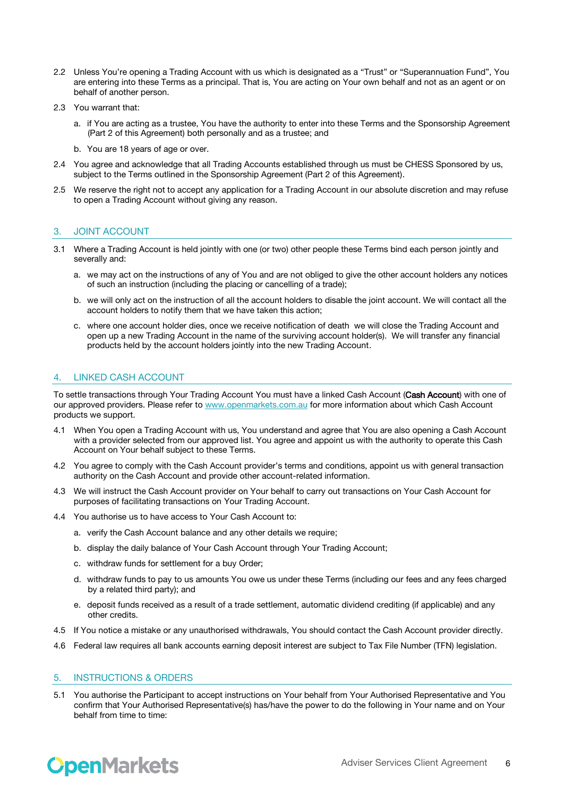- 2.2 Unless You're opening a Trading Account with us which is designated as a "Trust" or "Superannuation Fund", You are entering into these Terms as a principal. That is, You are acting on Your own behalf and not as an agent or on behalf of another person.
- 2.3 You warrant that:
	- a. if You are acting as a trustee, You have the authority to enter into these Terms and the Sponsorship Agreement (Part 2 of this Agreement) both personally and as a trustee; and
	- b. You are 18 years of age or over.
- 2.4 You agree and acknowledge that all Trading Accounts established through us must be CHESS Sponsored by us, subject to the Terms outlined in the Sponsorship Agreement (Part 2 of this Agreement).
- 2.5 We reserve the right not to accept any application for a Trading Account in our absolute discretion and may refuse to open a Trading Account without giving any reason.

# 3. JOINT ACCOUNT

- 3.1 Where a Trading Account is held jointly with one (or two) other people these Terms bind each person jointly and severally and:
	- a. we may act on the instructions of any of You and are not obliged to give the other account holders any notices of such an instruction (including the placing or cancelling of a trade);
	- b. we will only act on the instruction of all the account holders to disable the joint account. We will contact all the account holders to notify them that we have taken this action;
	- c. where one account holder dies, once we receive notification of death we will close the Trading Account and open up a new Trading Account in the name of the surviving account holder(s). We will transfer any financial products held by the account holders jointly into the new Trading Account.

# 4. LINKED CASH ACCOUNT

To settle transactions through Your Trading Account You must have a linked Cash Account (Cash Account) with one of our approved providers. Please refer t[o www.openmarkets.com.au](http://www.openmarkets.com.au/) for more information about which Cash Account products we support.

- 4.1 When You open a Trading Account with us, You understand and agree that You are also opening a Cash Account with a provider selected from our approved list. You agree and appoint us with the authority to operate this Cash Account on Your behalf subject to these Terms.
- 4.2 You agree to comply with the Cash Account provider's terms and conditions, appoint us with general transaction authority on the Cash Account and provide other account-related information.
- 4.3 We will instruct the Cash Account provider on Your behalf to carry out transactions on Your Cash Account for purposes of facilitating transactions on Your Trading Account.
- 4.4 You authorise us to have access to Your Cash Account to:
	- a. verify the Cash Account balance and any other details we require;
	- b. display the daily balance of Your Cash Account through Your Trading Account;
	- c. withdraw funds for settlement for a buy Order;
	- d. withdraw funds to pay to us amounts You owe us under these Terms (including our fees and any fees charged by a related third party); and
	- e. deposit funds received as a result of a trade settlement, automatic dividend crediting (if applicable) and any other credits.
- 4.5 If You notice a mistake or any unauthorised withdrawals, You should contact the Cash Account provider directly.
- 4.6 Federal law requires all bank accounts earning deposit interest are subject to Tax File Number (TFN) legislation.

#### 5. INSTRUCTIONS & ORDERS

5.1 You authorise the Participant to accept instructions on Your behalf from Your Authorised Representative and You confirm that Your Authorised Representative(s) has/have the power to do the following in Your name and on Your behalf from time to time: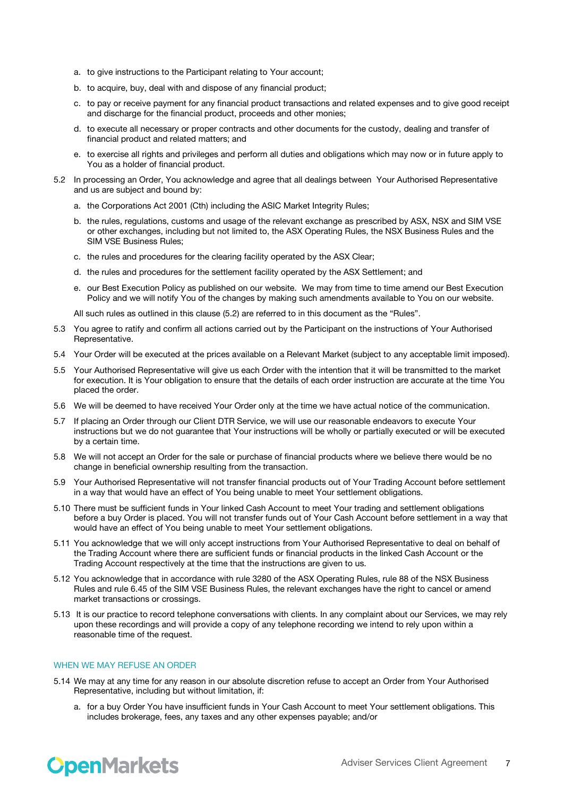- a. to give instructions to the Participant relating to Your account;
- b. to acquire, buy, deal with and dispose of any financial product;
- c. to pay or receive payment for any financial product transactions and related expenses and to give good receipt and discharge for the financial product, proceeds and other monies;
- d. to execute all necessary or proper contracts and other documents for the custody, dealing and transfer of financial product and related matters; and
- e. to exercise all rights and privileges and perform all duties and obligations which may now or in future apply to You as a holder of financial product.
- 5.2 In processing an Order, You acknowledge and agree that all dealings between Your Authorised Representative and us are subject and bound by:
	- a. the Corporations Act 2001 (Cth) including the ASIC Market Integrity Rules;
	- b. the rules, regulations, customs and usage of the relevant exchange as prescribed by ASX, NSX and SIM VSE or other exchanges, including but not limited to, the ASX Operating Rules, the NSX Business Rules and the SIM VSE Business Rules;
	- c. the rules and procedures for the clearing facility operated by the ASX Clear;
	- d. the rules and procedures for the settlement facility operated by the ASX Settlement; and
	- e. our Best Execution Policy as published on our website. We may from time to time amend our Best Execution Policy and we will notify You of the changes by making such amendments available to You on our website.

All such rules as outlined in this clause (5.2) are referred to in this document as the "Rules".

- 5.3 You agree to ratify and confirm all actions carried out by the Participant on the instructions of Your Authorised Representative.
- 5.4 Your Order will be executed at the prices available on a Relevant Market (subject to any acceptable limit imposed).
- 5.5 Your Authorised Representative will give us each Order with the intention that it will be transmitted to the market for execution. It is Your obligation to ensure that the details of each order instruction are accurate at the time You placed the order.
- 5.6 We will be deemed to have received Your Order only at the time we have actual notice of the communication.
- 5.7 If placing an Order through our Client DTR Service, we will use our reasonable endeavors to execute Your instructions but we do not guarantee that Your instructions will be wholly or partially executed or will be executed by a certain time.
- 5.8 We will not accept an Order for the sale or purchase of financial products where we believe there would be no change in beneficial ownership resulting from the transaction.
- 5.9 Your Authorised Representative will not transfer financial products out of Your Trading Account before settlement in a way that would have an effect of You being unable to meet Your settlement obligations.
- 5.10 There must be sufficient funds in Your linked Cash Account to meet Your trading and settlement obligations before a buy Order is placed. You will not transfer funds out of Your Cash Account before settlement in a way that would have an effect of You being unable to meet Your settlement obligations.
- 5.11 You acknowledge that we will only accept instructions from Your Authorised Representative to deal on behalf of the Trading Account where there are sufficient funds or financial products in the linked Cash Account or the Trading Account respectively at the time that the instructions are given to us.
- 5.12 You acknowledge that in accordance with rule 3280 of the ASX Operating Rules, rule 88 of the NSX Business Rules and rule 6.45 of the SIM VSE Business Rules, the relevant exchanges have the right to cancel or amend market transactions or crossings.
- 5.13 It is our practice to record telephone conversations with clients. In any complaint about our Services, we may rely upon these recordings and will provide a copy of any telephone recording we intend to rely upon within a reasonable time of the request.

#### WHEN WE MAY REFUSE AN ORDER

- 5.14 We may at any time for any reason in our absolute discretion refuse to accept an Order from Your Authorised Representative, including but without limitation, if:
	- a. for a buy Order You have insufficient funds in Your Cash Account to meet Your settlement obligations. This includes brokerage, fees, any taxes and any other expenses payable; and/or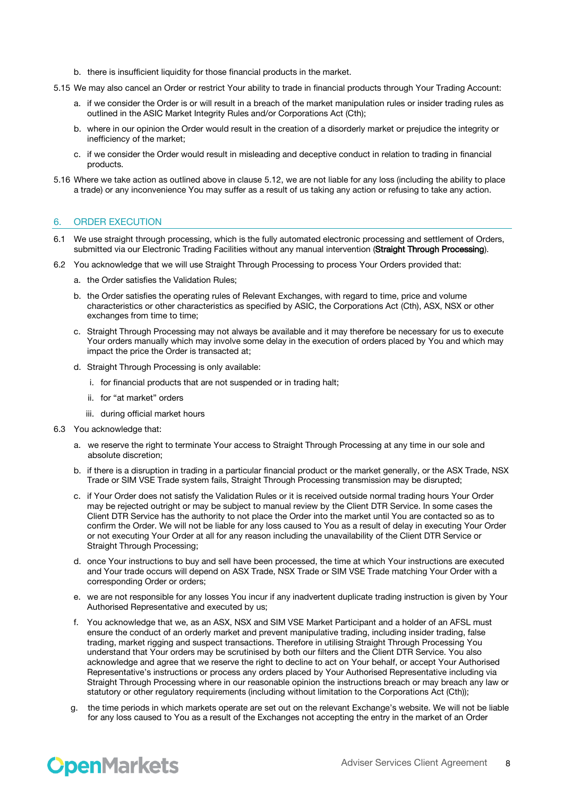- b. there is insufficient liquidity for those financial products in the market.
- 5.15 We may also cancel an Order or restrict Your ability to trade in financial products through Your Trading Account:
	- a. if we consider the Order is or will result in a breach of the market manipulation rules or insider trading rules as outlined in the ASIC Market Integrity Rules and/or Corporations Act (Cth);
	- b. where in our opinion the Order would result in the creation of a disorderly market or prejudice the integrity or inefficiency of the market;
	- c. if we consider the Order would result in misleading and deceptive conduct in relation to trading in financial products.
- 5.16 Where we take action as outlined above in clause 5.12, we are not liable for any loss (including the ability to place a trade) or any inconvenience You may suffer as a result of us taking any action or refusing to take any action.

## 6. ORDER EXECUTION

- 6.1 We use straight through processing, which is the fully automated electronic processing and settlement of Orders, submitted via our Electronic Trading Facilities without any manual intervention (Straight Through Processing).
- 6.2 You acknowledge that we will use Straight Through Processing to process Your Orders provided that:
	- a. the Order satisfies the Validation Rules;
	- b. the Order satisfies the operating rules of Relevant Exchanges, with regard to time, price and volume characteristics or other characteristics as specified by ASIC, the Corporations Act (Cth), ASX, NSX or other exchanges from time to time;
	- c. Straight Through Processing may not always be available and it may therefore be necessary for us to execute Your orders manually which may involve some delay in the execution of orders placed by You and which may impact the price the Order is transacted at;
	- d. Straight Through Processing is only available:
		- i. for financial products that are not suspended or in trading halt;
		- ii. for "at market" orders
		- iii. during official market hours
- 6.3 You acknowledge that:
	- a. we reserve the right to terminate Your access to Straight Through Processing at any time in our sole and absolute discretion;
	- b. if there is a disruption in trading in a particular financial product or the market generally, or the ASX Trade, NSX Trade or SIM VSE Trade system fails, Straight Through Processing transmission may be disrupted;
	- c. if Your Order does not satisfy the Validation Rules or it is received outside normal trading hours Your Order may be rejected outright or may be subject to manual review by the Client DTR Service. In some cases the Client DTR Service has the authority to not place the Order into the market until You are contacted so as to confirm the Order. We will not be liable for any loss caused to You as a result of delay in executing Your Order or not executing Your Order at all for any reason including the unavailability of the Client DTR Service or Straight Through Processing;
	- d. once Your instructions to buy and sell have been processed, the time at which Your instructions are executed and Your trade occurs will depend on ASX Trade, NSX Trade or SIM VSE Trade matching Your Order with a corresponding Order or orders;
	- e. we are not responsible for any losses You incur if any inadvertent duplicate trading instruction is given by Your Authorised Representative and executed by us;
	- f. You acknowledge that we, as an ASX, NSX and SIM VSE Market Participant and a holder of an AFSL must ensure the conduct of an orderly market and prevent manipulative trading, including insider trading, false trading, market rigging and suspect transactions. Therefore in utilising Straight Through Processing You understand that Your orders may be scrutinised by both our filters and the Client DTR Service. You also acknowledge and agree that we reserve the right to decline to act on Your behalf, or accept Your Authorised Representative's instructions or process any orders placed by Your Authorised Representative including via Straight Through Processing where in our reasonable opinion the instructions breach or may breach any law or statutory or other regulatory requirements (including without limitation to the Corporations Act (Cth));
	- g. the time periods in which markets operate are set out on the relevant Exchange's website. We will not be liable for any loss caused to You as a result of the Exchanges not accepting the entry in the market of an Order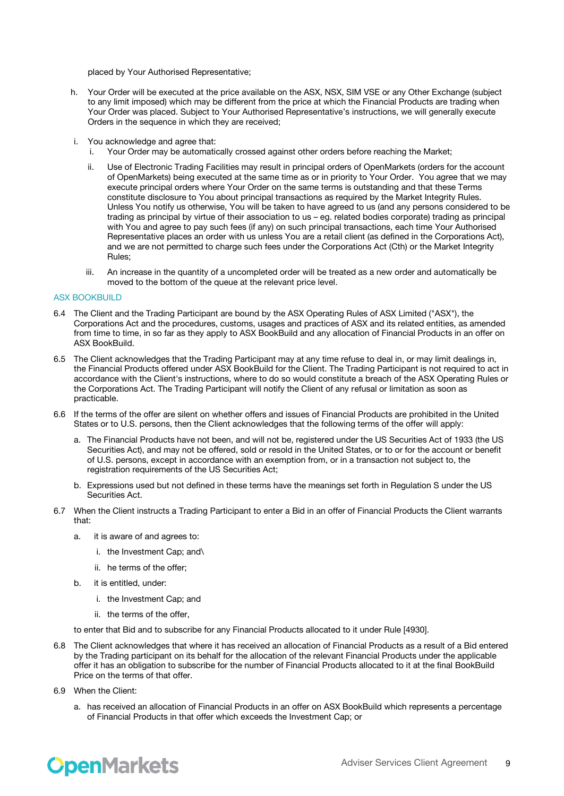placed by Your Authorised Representative;

- h. Your Order will be executed at the price available on the ASX, NSX, SIM VSE or any Other Exchange (subject to any limit imposed) which may be different from the price at which the Financial Products are trading when Your Order was placed. Subject to Your Authorised Representative's instructions, we will generally execute Orders in the sequence in which they are received;
- i. You acknowledge and agree that:
	- i. Your Order may be automatically crossed against other orders before reaching the Market;
	- ii. Use of Electronic Trading Facilities may result in principal orders of OpenMarkets (orders for the account of OpenMarkets) being executed at the same time as or in priority to Your Order. You agree that we may execute principal orders where Your Order on the same terms is outstanding and that these Terms constitute disclosure to You about principal transactions as required by the Market Integrity Rules. Unless You notify us otherwise, You will be taken to have agreed to us (and any persons considered to be trading as principal by virtue of their association to us – eg. related bodies corporate) trading as principal with You and agree to pay such fees (if any) on such principal transactions, each time Your Authorised Representative places an order with us unless You are a retail client (as defined in the Corporations Act), and we are not permitted to charge such fees under the Corporations Act (Cth) or the Market Integrity Rules;
	- iii. An increase in the quantity of a uncompleted order will be treated as a new order and automatically be moved to the bottom of the queue at the relevant price level.

#### ASX BOOKBUILD

- 6.4 The Client and the Trading Participant are bound by the ASX Operating Rules of ASX Limited ("ASX"), the Corporations Act and the procedures, customs, usages and practices of ASX and its related entities, as amended from time to time, in so far as they apply to ASX BookBuild and any allocation of Financial Products in an offer on ASX BookBuild.
- 6.5 The Client acknowledges that the Trading Participant may at any time refuse to deal in, or may limit dealings in, the Financial Products offered under ASX BookBuild for the Client. The Trading Participant is not required to act in accordance with the Client's instructions, where to do so would constitute a breach of the ASX Operating Rules or the Corporations Act. The Trading Participant will notify the Client of any refusal or limitation as soon as practicable.
- 6.6 If the terms of the offer are silent on whether offers and issues of Financial Products are prohibited in the United States or to U.S. persons, then the Client acknowledges that the following terms of the offer will apply:
	- a. The Financial Products have not been, and will not be, registered under the US Securities Act of 1933 (the US Securities Act), and may not be offered, sold or resold in the United States, or to or for the account or benefit of U.S. persons, except in accordance with an exemption from, or in a transaction not subject to, the registration requirements of the US Securities Act;
	- b. Expressions used but not defined in these terms have the meanings set forth in Regulation S under the US Securities Act.
- 6.7 When the Client instructs a Trading Participant to enter a Bid in an offer of Financial Products the Client warrants that:
	- a. it is aware of and agrees to:
		- i. the Investment Cap; and\
		- ii. he terms of the offer;
	- b. it is entitled, under:
		- i. the Investment Cap; and
		- ii. the terms of the offer,

to enter that Bid and to subscribe for any Financial Products allocated to it under Rule [4930].

- 6.8 The Client acknowledges that where it has received an allocation of Financial Products as a result of a Bid entered by the Trading participant on its behalf for the allocation of the relevant Financial Products under the applicable offer it has an obligation to subscribe for the number of Financial Products allocated to it at the final BookBuild Price on the terms of that offer.
- 6.9 When the Client:
	- a. has received an allocation of Financial Products in an offer on ASX BookBuild which represents a percentage of Financial Products in that offer which exceeds the Investment Cap; or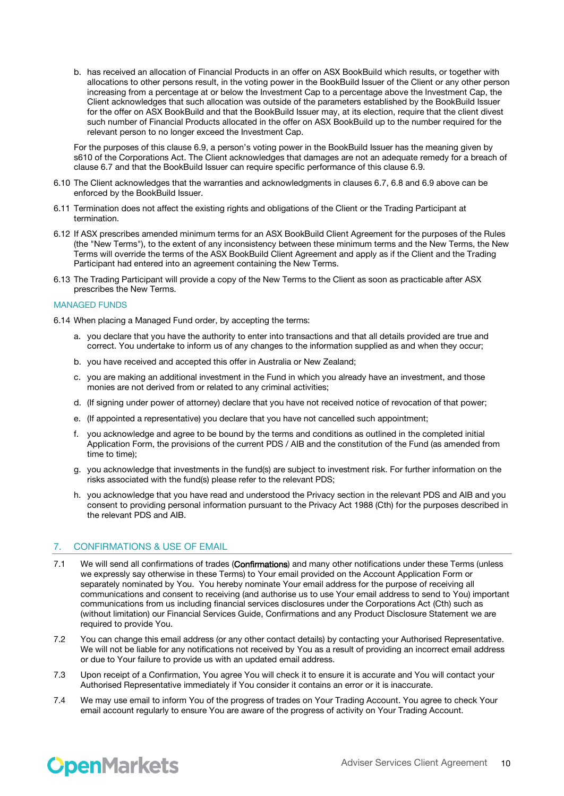b. has received an allocation of Financial Products in an offer on ASX BookBuild which results, or together with allocations to other persons result, in the voting power in the BookBuild Issuer of the Client or any other person increasing from a percentage at or below the Investment Cap to a percentage above the Investment Cap, the Client acknowledges that such allocation was outside of the parameters established by the BookBuild Issuer for the offer on ASX BookBuild and that the BookBuild Issuer may, at its election, require that the client divest such number of Financial Products allocated in the offer on ASX BookBuild up to the number required for the relevant person to no longer exceed the Investment Cap.

For the purposes of this clause 6.9, a person's voting power in the BookBuild Issuer has the meaning given by s610 of the Corporations Act. The Client acknowledges that damages are not an adequate remedy for a breach of clause 6.7 and that the BookBuild Issuer can require specific performance of this clause 6.9.

- 6.10 The Client acknowledges that the warranties and acknowledgments in clauses 6.7, 6.8 and 6.9 above can be enforced by the BookBuild Issuer.
- 6.11 Termination does not affect the existing rights and obligations of the Client or the Trading Participant at termination.
- 6.12 If ASX prescribes amended minimum terms for an ASX BookBuild Client Agreement for the purposes of the Rules (the "New Terms"), to the extent of any inconsistency between these minimum terms and the New Terms, the New Terms will override the terms of the ASX BookBuild Client Agreement and apply as if the Client and the Trading Participant had entered into an agreement containing the New Terms.
- 6.13 The Trading Participant will provide a copy of the New Terms to the Client as soon as practicable after ASX prescribes the New Terms.

#### MANAGED FUNDS

6.14 When placing a Managed Fund order, by accepting the terms:

- a. you declare that you have the authority to enter into transactions and that all details provided are true and correct. You undertake to inform us of any changes to the information supplied as and when they occur;
- b. you have received and accepted this offer in Australia or New Zealand;
- c. you are making an additional investment in the Fund in which you already have an investment, and those monies are not derived from or related to any criminal activities;
- d. (If signing under power of attorney) declare that you have not received notice of revocation of that power;
- e. (If appointed a representative) you declare that you have not cancelled such appointment;
- f. you acknowledge and agree to be bound by the terms and conditions as outlined in the completed initial Application Form, the provisions of the current PDS / AIB and the constitution of the Fund (as amended from time to time);
- g. you acknowledge that investments in the fund(s) are subject to investment risk. For further information on the risks associated with the fund(s) please refer to the relevant PDS;
- h. you acknowledge that you have read and understood the Privacy section in the relevant PDS and AIB and you consent to providing personal information pursuant to the Privacy Act 1988 (Cth) for the purposes described in the relevant PDS and AIB.

#### 7. CONFIRMATIONS & USE OF EMAIL

- 7.1 We will send all confirmations of trades (Confirmations) and many other notifications under these Terms (unless we expressly say otherwise in these Terms) to Your email provided on the Account Application Form or separately nominated by You. You hereby nominate Your email address for the purpose of receiving all communications and consent to receiving (and authorise us to use Your email address to send to You) important communications from us including financial services disclosures under the Corporations Act (Cth) such as (without limitation) our Financial Services Guide, Confirmations and any Product Disclosure Statement we are required to provide You.
- 7.2 You can change this email address (or any other contact details) by contacting your Authorised Representative. We will not be liable for any notifications not received by You as a result of providing an incorrect email address or due to Your failure to provide us with an updated email address.
- 7.3 Upon receipt of a Confirmation, You agree You will check it to ensure it is accurate and You will contact your Authorised Representative immediately if You consider it contains an error or it is inaccurate.
- 7.4 We may use email to inform You of the progress of trades on Your Trading Account. You agree to check Your email account regularly to ensure You are aware of the progress of activity on Your Trading Account.

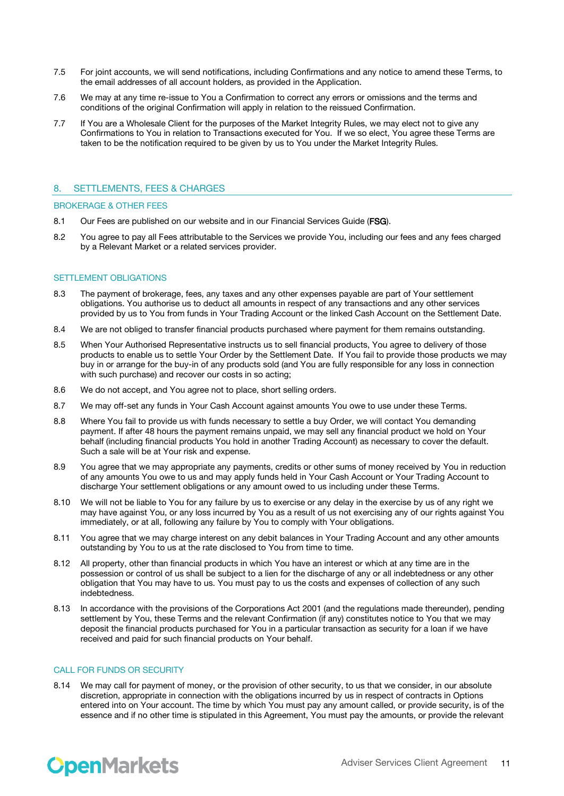- 7.5 For joint accounts, we will send notifications, including Confirmations and any notice to amend these Terms, to the email addresses of all account holders, as provided in the Application.
- 7.6 We may at any time re-issue to You a Confirmation to correct any errors or omissions and the terms and conditions of the original Confirmation will apply in relation to the reissued Confirmation.
- 7.7 If You are a Wholesale Client for the purposes of the Market Integrity Rules, we may elect not to give any Confirmations to You in relation to Transactions executed for You. If we so elect, You agree these Terms are taken to be the notification required to be given by us to You under the Market Integrity Rules.

## 8. SETTLEMENTS, FEES & CHARGES

#### BROKERAGE & OTHER FEES

- 8.1 Our Fees are published on our website and in our Financial Services Guide (FSG).
- 8.2 You agree to pay all Fees attributable to the Services we provide You, including our fees and any fees charged by a Relevant Market or a related services provider.

#### SETTLEMENT OBLIGATIONS

- 8.3 The payment of brokerage, fees, any taxes and any other expenses payable are part of Your settlement obligations. You authorise us to deduct all amounts in respect of any transactions and any other services provided by us to You from funds in Your Trading Account or the linked Cash Account on the Settlement Date.
- 8.4 We are not obliged to transfer financial products purchased where payment for them remains outstanding.
- 8.5 When Your Authorised Representative instructs us to sell financial products, You agree to delivery of those products to enable us to settle Your Order by the Settlement Date. If You fail to provide those products we may buy in or arrange for the buy-in of any products sold (and You are fully responsible for any loss in connection with such purchase) and recover our costs in so acting:
- 8.6 We do not accept, and You agree not to place, short selling orders.
- 8.7 We may off-set any funds in Your Cash Account against amounts You owe to use under these Terms.
- 8.8 Where You fail to provide us with funds necessary to settle a buy Order, we will contact You demanding payment. If after 48 hours the payment remains unpaid, we may sell any financial product we hold on Your behalf (including financial products You hold in another Trading Account) as necessary to cover the default. Such a sale will be at Your risk and expense.
- 8.9 You agree that we may appropriate any payments, credits or other sums of money received by You in reduction of any amounts You owe to us and may apply funds held in Your Cash Account or Your Trading Account to discharge Your settlement obligations or any amount owed to us including under these Terms.
- 8.10 We will not be liable to You for any failure by us to exercise or any delay in the exercise by us of any right we may have against You, or any loss incurred by You as a result of us not exercising any of our rights against You immediately, or at all, following any failure by You to comply with Your obligations.
- 8.11 You agree that we may charge interest on any debit balances in Your Trading Account and any other amounts outstanding by You to us at the rate disclosed to You from time to time.
- 8.12 All property, other than financial products in which You have an interest or which at any time are in the possession or control of us shall be subject to a lien for the discharge of any or all indebtedness or any other obligation that You may have to us. You must pay to us the costs and expenses of collection of any such indebtedness.
- 8.13 In accordance with the provisions of the Corporations Act 2001 (and the regulations made thereunder), pending settlement by You, these Terms and the relevant Confirmation (if any) constitutes notice to You that we may deposit the financial products purchased for You in a particular transaction as security for a loan if we have received and paid for such financial products on Your behalf.

## CALL FOR FUNDS OR SECURITY

8.14 We may call for payment of money, or the provision of other security, to us that we consider, in our absolute discretion, appropriate in connection with the obligations incurred by us in respect of contracts in Options entered into on Your account. The time by which You must pay any amount called, or provide security, is of the essence and if no other time is stipulated in this Agreement, You must pay the amounts, or provide the relevant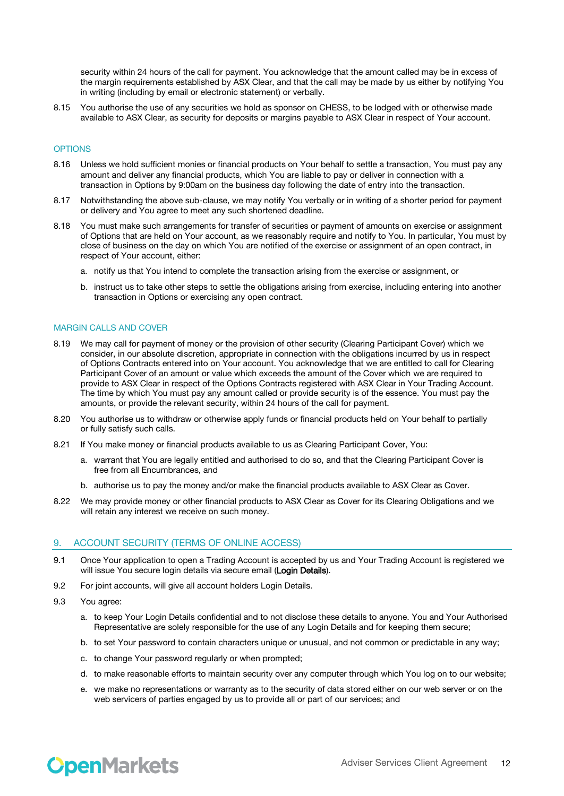security within 24 hours of the call for payment. You acknowledge that the amount called may be in excess of the margin requirements established by ASX Clear, and that the call may be made by us either by notifying You in writing (including by email or electronic statement) or verbally.

8.15 You authorise the use of any securities we hold as sponsor on CHESS, to be lodged with or otherwise made available to ASX Clear, as security for deposits or margins payable to ASX Clear in respect of Your account.

#### **OPTIONS**

- 8.16 Unless we hold sufficient monies or financial products on Your behalf to settle a transaction, You must pay any amount and deliver any financial products, which You are liable to pay or deliver in connection with a transaction in Options by 9:00am on the business day following the date of entry into the transaction.
- 8.17 Notwithstanding the above sub-clause, we may notify You verbally or in writing of a shorter period for payment or delivery and You agree to meet any such shortened deadline.
- 8.18 You must make such arrangements for transfer of securities or payment of amounts on exercise or assignment of Options that are held on Your account, as we reasonably require and notify to You. In particular, You must by close of business on the day on which You are notified of the exercise or assignment of an open contract, in respect of Your account, either:
	- a. notify us that You intend to complete the transaction arising from the exercise or assignment, or
	- b. instruct us to take other steps to settle the obligations arising from exercise, including entering into another transaction in Options or exercising any open contract.

#### MARGIN CALLS AND COVER

- 8.19 We may call for payment of money or the provision of other security (Clearing Participant Cover) which we consider, in our absolute discretion, appropriate in connection with the obligations incurred by us in respect of Options Contracts entered into on Your account. You acknowledge that we are entitled to call for Clearing Participant Cover of an amount or value which exceeds the amount of the Cover which we are required to provide to ASX Clear in respect of the Options Contracts registered with ASX Clear in Your Trading Account. The time by which You must pay any amount called or provide security is of the essence. You must pay the amounts, or provide the relevant security, within 24 hours of the call for payment.
- 8.20 You authorise us to withdraw or otherwise apply funds or financial products held on Your behalf to partially or fully satisfy such calls.
- 8.21 If You make money or financial products available to us as Clearing Participant Cover, You:
	- a. warrant that You are legally entitled and authorised to do so, and that the Clearing Participant Cover is free from all Encumbrances, and
	- b. authorise us to pay the money and/or make the financial products available to ASX Clear as Cover.
- 8.22 We may provide money or other financial products to ASX Clear as Cover for its Clearing Obligations and we will retain any interest we receive on such money.

#### 9. ACCOUNT SECURITY (TERMS OF ONLINE ACCESS)

- 9.1 Once Your application to open a Trading Account is accepted by us and Your Trading Account is registered we will issue You secure login details via secure email (Login Details).
- 9.2 For joint accounts, will give all account holders Login Details.
- 9.3 You agree:
	- a. to keep Your Login Details confidential and to not disclose these details to anyone. You and Your Authorised Representative are solely responsible for the use of any Login Details and for keeping them secure;
	- b. to set Your password to contain characters unique or unusual, and not common or predictable in any way;
	- c. to change Your password regularly or when prompted;
	- d. to make reasonable efforts to maintain security over any computer through which You log on to our website;
	- e. we make no representations or warranty as to the security of data stored either on our web server or on the web servicers of parties engaged by us to provide all or part of our services; and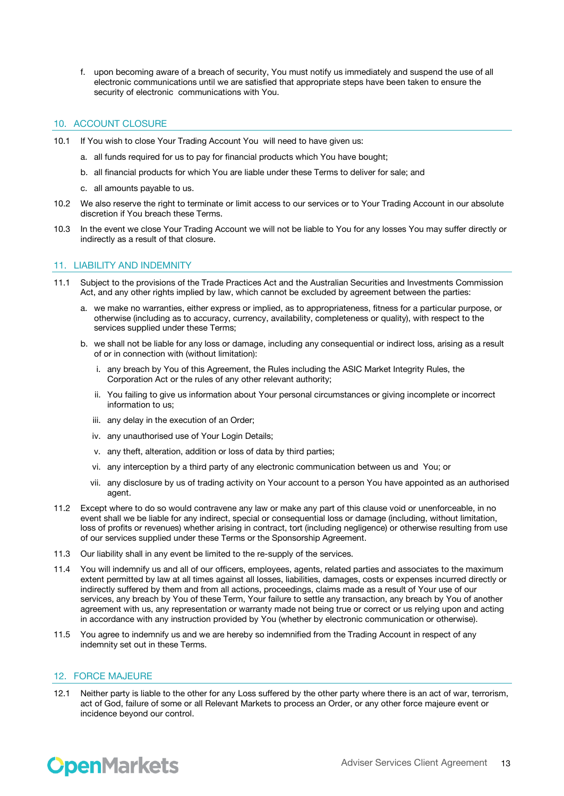f. upon becoming aware of a breach of security, You must notify us immediately and suspend the use of all electronic communications until we are satisfied that appropriate steps have been taken to ensure the security of electronic communications with You.

# 10. ACCOUNT CLOSURE

- 10.1 If You wish to close Your Trading Account You will need to have given us:
	- a. all funds required for us to pay for financial products which You have bought;
	- b. all financial products for which You are liable under these Terms to deliver for sale; and
	- c. all amounts payable to us.
- 10.2 We also reserve the right to terminate or limit access to our services or to Your Trading Account in our absolute discretion if You breach these Terms.
- 10.3 In the event we close Your Trading Account we will not be liable to You for any losses You may suffer directly or indirectly as a result of that closure.

### 11. LIABILITY AND INDEMNITY

- 11.1 Subject to the provisions of the Trade Practices Act and the Australian Securities and Investments Commission Act, and any other rights implied by law, which cannot be excluded by agreement between the parties:
	- a. we make no warranties, either express or implied, as to appropriateness, fitness for a particular purpose, or otherwise (including as to accuracy, currency, availability, completeness or quality), with respect to the services supplied under these Terms;
	- b. we shall not be liable for any loss or damage, including any consequential or indirect loss, arising as a result of or in connection with (without limitation):
		- i. any breach by You of this Agreement, the Rules including the ASIC Market Integrity Rules, the Corporation Act or the rules of any other relevant authority;
		- ii. You failing to give us information about Your personal circumstances or giving incomplete or incorrect information to us;
		- iii. any delay in the execution of an Order;
		- iv. any unauthorised use of Your Login Details;
		- v. any theft, alteration, addition or loss of data by third parties;
		- vi. any interception by a third party of any electronic communication between us and You; or
		- vii. any disclosure by us of trading activity on Your account to a person You have appointed as an authorised agent.
- 11.2 Except where to do so would contravene any law or make any part of this clause void or unenforceable, in no event shall we be liable for any indirect, special or consequential loss or damage (including, without limitation, loss of profits or revenues) whether arising in contract, tort (including negligence) or otherwise resulting from use of our services supplied under these Terms or the Sponsorship Agreement.
- 11.3 Our liability shall in any event be limited to the re-supply of the services.
- 11.4 You will indemnify us and all of our officers, employees, agents, related parties and associates to the maximum extent permitted by law at all times against all losses, liabilities, damages, costs or expenses incurred directly or indirectly suffered by them and from all actions, proceedings, claims made as a result of Your use of our services, any breach by You of these Term, Your failure to settle any transaction, any breach by You of another agreement with us, any representation or warranty made not being true or correct or us relying upon and acting in accordance with any instruction provided by You (whether by electronic communication or otherwise).
- 11.5 You agree to indemnify us and we are hereby so indemnified from the Trading Account in respect of any indemnity set out in these Terms.

### 12. FORCE MAJEURE

12.1 Neither party is liable to the other for any Loss suffered by the other party where there is an act of war, terrorism, act of God, failure of some or all Relevant Markets to process an Order, or any other force majeure event or incidence beyond our control.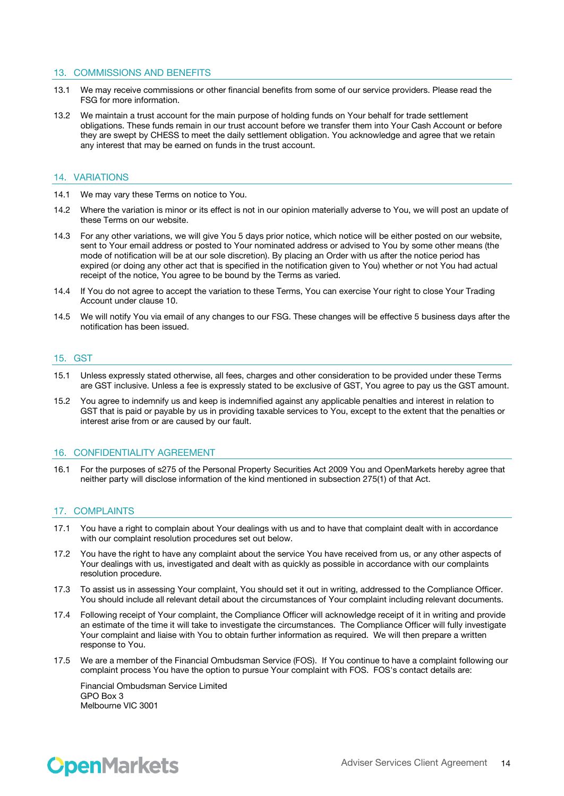#### 13. COMMISSIONS AND BENEFITS

- 13.1 We may receive commissions or other financial benefits from some of our service providers. Please read the FSG for more information.
- 13.2 We maintain a trust account for the main purpose of holding funds on Your behalf for trade settlement obligations. These funds remain in our trust account before we transfer them into Your Cash Account or before they are swept by CHESS to meet the daily settlement obligation. You acknowledge and agree that we retain any interest that may be earned on funds in the trust account.

#### 14. VARIATIONS

- 14.1 We may vary these Terms on notice to You.
- 14.2 Where the variation is minor or its effect is not in our opinion materially adverse to You, we will post an update of these Terms on our website.
- 14.3 For any other variations, we will give You 5 days prior notice, which notice will be either posted on our website, sent to Your email address or posted to Your nominated address or advised to You by some other means (the mode of notification will be at our sole discretion). By placing an Order with us after the notice period has expired (or doing any other act that is specified in the notification given to You) whether or not You had actual receipt of the notice, You agree to be bound by the Terms as varied.
- 14.4 If You do not agree to accept the variation to these Terms, You can exercise Your right to close Your Trading Account under clause 10.
- 14.5 We will notify You via email of any changes to our FSG. These changes will be effective 5 business days after the notification has been issued.

#### 15. GST

- 15.1 Unless expressly stated otherwise, all fees, charges and other consideration to be provided under these Terms are GST inclusive. Unless a fee is expressly stated to be exclusive of GST, You agree to pay us the GST amount.
- 15.2 You agree to indemnify us and keep is indemnified against any applicable penalties and interest in relation to GST that is paid or payable by us in providing taxable services to You, except to the extent that the penalties or interest arise from or are caused by our fault.

### 16. CONFIDENTIALITY AGREEMENT

16.1 For the purposes of s275 of the Personal Property Securities Act 2009 You and OpenMarkets hereby agree that neither party will disclose information of the kind mentioned in subsection 275(1) of that Act.

#### 17. COMPLAINTS

- 17.1 You have a right to complain about Your dealings with us and to have that complaint dealt with in accordance with our complaint resolution procedures set out below.
- 17.2 You have the right to have any complaint about the service You have received from us, or any other aspects of Your dealings with us, investigated and dealt with as quickly as possible in accordance with our complaints resolution procedure.
- 17.3 To assist us in assessing Your complaint, You should set it out in writing, addressed to the Compliance Officer. You should include all relevant detail about the circumstances of Your complaint including relevant documents.
- 17.4 Following receipt of Your complaint, the Compliance Officer will acknowledge receipt of it in writing and provide an estimate of the time it will take to investigate the circumstances. The Compliance Officer will fully investigate Your complaint and liaise with You to obtain further information as required. We will then prepare a written response to You.
- 17.5 We are a member of the Financial Ombudsman Service (FOS). If You continue to have a complaint following our complaint process You have the option to pursue Your complaint with FOS. FOS's contact details are:

Financial Ombudsman Service Limited GPO Box 3 Melbourne VIC 3001

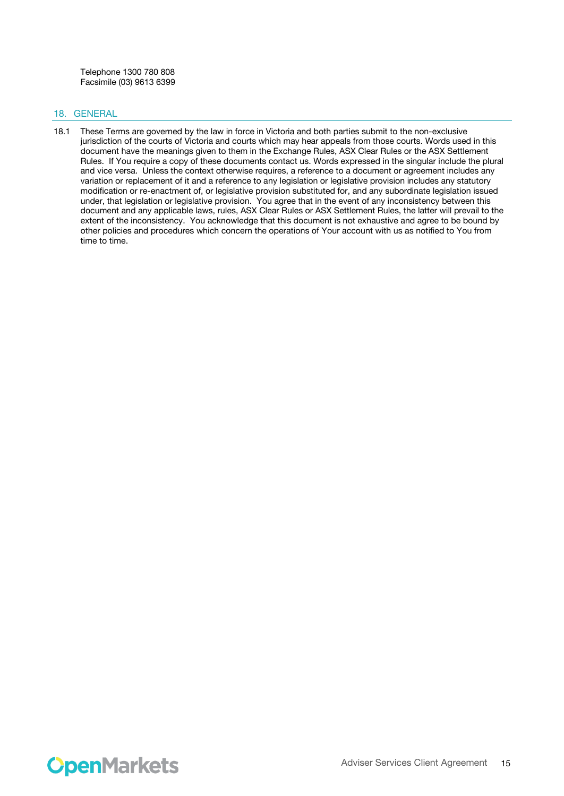Telephone 1300 780 808 Facsimile (03) 9613 6399

# 18. GENERAL

18.1 These Terms are governed by the law in force in Victoria and both parties submit to the non-exclusive jurisdiction of the courts of Victoria and courts which may hear appeals from those courts. Words used in this document have the meanings given to them in the Exchange Rules, ASX Clear Rules or the ASX Settlement Rules. If You require a copy of these documents contact us. Words expressed in the singular include the plural and vice versa. Unless the context otherwise requires, a reference to a document or agreement includes any variation or replacement of it and a reference to any legislation or legislative provision includes any statutory modification or re-enactment of, or legislative provision substituted for, and any subordinate legislation issued under, that legislation or legislative provision. You agree that in the event of any inconsistency between this document and any applicable laws, rules, ASX Clear Rules or ASX Settlement Rules, the latter will prevail to the extent of the inconsistency. You acknowledge that this document is not exhaustive and agree to be bound by other policies and procedures which concern the operations of Your account with us as notified to You from time to time.

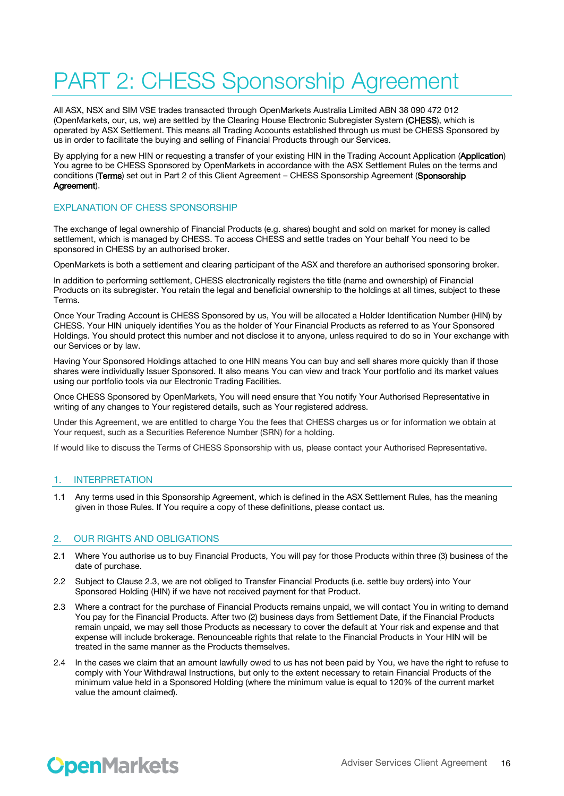# PART 2: CHESS Sponsorship Agreement

All ASX, NSX and SIM VSE trades transacted through OpenMarkets Australia Limited ABN 38 090 472 012 (OpenMarkets, our, us, we) are settled by the Clearing House Electronic Subregister System (CHESS), which is operated by ASX Settlement. This means all Trading Accounts established through us must be CHESS Sponsored by us in order to facilitate the buying and selling of Financial Products through our Services.

By applying for a new HIN or requesting a transfer of your existing HIN in the Trading Account Application (Application) You agree to be CHESS Sponsored by OpenMarkets in accordance with the ASX Settlement Rules on the terms and conditions (Terms) set out in Part 2 of this Client Agreement – CHESS Sponsorship Agreement (Sponsorship Agreement).

### EXPLANATION OF CHESS SPONSORSHIP

The exchange of legal ownership of Financial Products (e.g. shares) bought and sold on market for money is called settlement, which is managed by CHESS. To access CHESS and settle trades on Your behalf You need to be sponsored in CHESS by an authorised broker.

OpenMarkets is both a settlement and clearing participant of the ASX and therefore an authorised sponsoring broker.

In addition to performing settlement, CHESS electronically registers the title (name and ownership) of Financial Products on its subregister. You retain the legal and beneficial ownership to the holdings at all times, subject to these Terms.

Once Your Trading Account is CHESS Sponsored by us, You will be allocated a Holder Identification Number (HIN) by CHESS. Your HIN uniquely identifies You as the holder of Your Financial Products as referred to as Your Sponsored Holdings. You should protect this number and not disclose it to anyone, unless required to do so in Your exchange with our Services or by law.

Having Your Sponsored Holdings attached to one HIN means You can buy and sell shares more quickly than if those shares were individually Issuer Sponsored. It also means You can view and track Your portfolio and its market values using our portfolio tools via our Electronic Trading Facilities.

Once CHESS Sponsored by OpenMarkets, You will need ensure that You notify Your Authorised Representative in writing of any changes to Your registered details, such as Your registered address.

Under this Agreement, we are entitled to charge You the fees that CHESS charges us or for information we obtain at Your request, such as a Securities Reference Number (SRN) for a holding.

If would like to discuss the Terms of CHESS Sponsorship with us, please contact your Authorised Representative.

### 1. INTERPRETATION

1.1 Any terms used in this Sponsorship Agreement, which is defined in the ASX Settlement Rules, has the meaning given in those Rules. If You require a copy of these definitions, please contact us.

### 2. OUR RIGHTS AND OBLIGATIONS

- 2.1 Where You authorise us to buy Financial Products, You will pay for those Products within three (3) business of the date of purchase.
- 2.2 Subject to Clause 2.3, we are not obliged to Transfer Financial Products (i.e. settle buy orders) into Your Sponsored Holding (HIN) if we have not received payment for that Product.
- 2.3 Where a contract for the purchase of Financial Products remains unpaid, we will contact You in writing to demand You pay for the Financial Products. After two (2) business days from Settlement Date, if the Financial Products remain unpaid, we may sell those Products as necessary to cover the default at Your risk and expense and that expense will include brokerage. Renounceable rights that relate to the Financial Products in Your HIN will be treated in the same manner as the Products themselves.
- 2.4 In the cases we claim that an amount lawfully owed to us has not been paid by You, we have the right to refuse to comply with Your Withdrawal Instructions, but only to the extent necessary to retain Financial Products of the minimum value held in a Sponsored Holding (where the minimum value is equal to 120% of the current market value the amount claimed).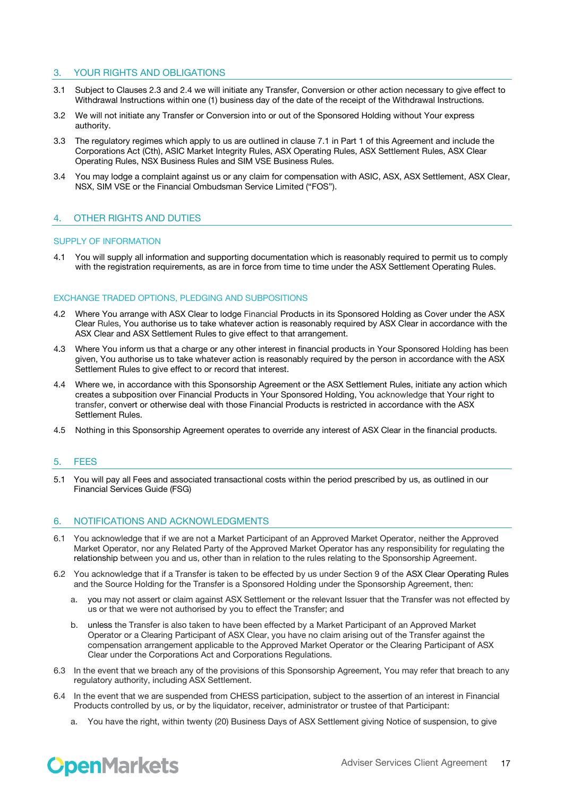# 3. YOUR RIGHTS AND OBLIGATIONS

- 3.1 Subject to Clauses 2.3 and 2.4 we will initiate any Transfer, Conversion or other action necessary to give effect to Withdrawal Instructions within one (1) business day of the date of the receipt of the Withdrawal Instructions.
- 3.2 We will not initiate any Transfer or Conversion into or out of the Sponsored Holding without Your express authority.
- 3.3 The regulatory regimes which apply to us are outlined in clause 7.1 in Part 1 of this Agreement and include the Corporations Act (Cth), ASIC Market Integrity Rules, ASX Operating Rules, ASX Settlement Rules, ASX Clear Operating Rules, NSX Business Rules and SIM VSE Business Rules.
- 3.4 You may lodge a complaint against us or any claim for compensation with ASIC, ASX, ASX Settlement, ASX Clear, NSX, SIM VSE or the Financial Ombudsman Service Limited ("FOS").

# 4. OTHER RIGHTS AND DUTIES

#### SUPPLY OF INFORMATION

4.1 You will supply all information and supporting documentation which is reasonably required to permit us to comply with the registration requirements, as are in force from time to time under the ASX Settlement Operating Rules.

#### EXCHANGE TRADED OPTIONS, PLEDGING AND SUBPOSITIONS

- 4.2 Where You arrange with ASX Clear to lodge Financial Products in its Sponsored Holding as Cover under the ASX Clear Rules, You authorise us to take whatever action is reasonably required by ASX Clear in accordance with the ASX Clear and ASX Settlement Rules to give effect to that arrangement.
- 4.3 Where You inform us that a charge or any other interest in financial products in Your Sponsored Holding has been given, You authorise us to take whatever action is reasonably required by the person in accordance with the ASX Settlement Rules to give effect to or record that interest.
- 4.4 Where we, in accordance with this Sponsorship Agreement or the ASX Settlement Rules, initiate any action which creates a subposition over Financial Products in Your Sponsored Holding, You acknowledge that Your right to transfer, convert or otherwise deal with those Financial Products is restricted in accordance with the ASX Settlement Rules.
- 4.5 Nothing in this Sponsorship Agreement operates to override any interest of ASX Clear in the financial products.

#### 5. FEES

5.1 You will pay all Fees and associated transactional costs within the period prescribed by us, as outlined in our Financial Services Guide (FSG)

### 6. NOTIFICATIONS AND ACKNOWLEDGMENTS

- 6.1 You acknowledge that if we are not a Market Participant of an Approved Market Operator, neither the Approved Market Operator, nor any Related Party of the Approved Market Operator has any responsibility for regulating the relationship between you and us, other than in relation to the rules relating to the Sponsorship Agreement.
- 6.2 You acknowledge that if a Transfer is taken to be effected by us under Section 9 of the ASX Clear Operating Rules and the Source Holding for the Transfer is a Sponsored Holding under the Sponsorship Agreement, then:
	- a. you may not assert or claim against ASX Settlement or the relevant Issuer that the Transfer was not effected by us or that we were not authorised by you to effect the Transfer; and
	- b. unless the Transfer is also taken to have been effected by a Market Participant of an Approved Market Operator or a Clearing Participant of ASX Clear, you have no claim arising out of the Transfer against the compensation arrangement applicable to the Approved Market Operator or the Clearing Participant of ASX Clear under the Corporations Act and Corporations Regulations.
- 6.3 In the event that we breach any of the provisions of this Sponsorship Agreement, You may refer that breach to any regulatory authority, including ASX Settlement.
- 6.4 In the event that we are suspended from CHESS participation, subject to the assertion of an interest in Financial Products controlled by us, or by the liquidator, receiver, administrator or trustee of that Participant:
	- a. You have the right, within twenty (20) Business Days of ASX Settlement giving Notice of suspension, to give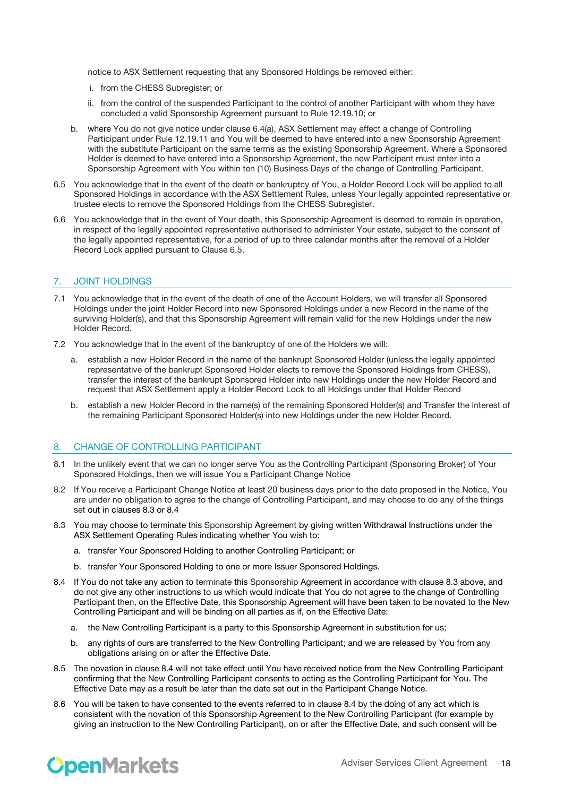notice to ASX Settlement requesting that any Sponsored Holdings be removed either:

- i. from the CHESS Subregister; or
- ii. from the control of the suspended Participant to the control of another Participant with whom they have concluded a valid Sponsorship Agreement pursuant to Rule 12.19.10; or
- b. where You do not give notice under clause 6.4(a), ASX Settlement may effect a change of Controlling Participant under Rule 12.19.11 and You will be deemed to have entered into a new Sponsorship Agreement with the substitute Participant on the same terms as the existing Sponsorship Agreement. Where a Sponsored Holder is deemed to have entered into a Sponsorship Agreement, the new Participant must enter into a Sponsorship Agreement with You within ten (10) Business Days of the change of Controlling Participant.
- 6.5 You acknowledge that in the event of the death or bankruptcy of You, a Holder Record Lock will be applied to all Sponsored Holdings in accordance with the ASX Settlement Rules, unless Your legally appointed representative or trustee elects to remove the Sponsored Holdings from the CHESS Subregister.
- 6.6 You acknowledge that in the event of Your death, this Sponsorship Agreement is deemed to remain in operation, in respect of the legally appointed representative authorised to administer Your estate, subject to the consent of the legally appointed representative, for a period of up to three calendar months after the removal of a Holder Record Lock applied pursuant to Clause 6.5.

# 7. JOINT HOLDINGS

- 7.1 You acknowledge that in the event of the death of one of the Account Holders, we will transfer all Sponsored Holdings under the joint Holder Record into new Sponsored Holdings under a new Record in the name of the surviving Holder(s), and that this Sponsorship Agreement will remain valid for the new Holdings under the new Holder Record.
- 7.2 You acknowledge that in the event of the bankruptcy of one of the Holders we will:
	- a. establish a new Holder Record in the name of the bankrupt Sponsored Holder (unless the legally appointed representative of the bankrupt Sponsored Holder elects to remove the Sponsored Holdings from CHESS), transfer the interest of the bankrupt Sponsored Holder into new Holdings under the new Holder Record and request that ASX Settlement apply a Holder Record Lock to all Holdings under that Holder Record
	- b. establish a new Holder Record in the name(s) of the remaining Sponsored Holder(s) and Transfer the interest of the remaining Participant Sponsored Holder(s) into new Holdings under the new Holder Record.

# 8. CHANGE OF CONTROLLING PARTICIPANT

- 8.1 In the unlikely event that we can no longer serve You as the Controlling Participant (Sponsoring Broker) of Your Sponsored Holdings, then we will issue You a Participant Change Notice
- 8.2 If You receive a Participant Change Notice at least 20 business days prior to the date proposed in the Notice, You are under no obligation to agree to the change of Controlling Participant, and may choose to do any of the things set out in clauses 8.3 or 8.4
- 8.3 You may choose to terminate this Sponsorship Agreement by giving written Withdrawal Instructions under the ASX Settlement Operating Rules indicating whether You wish to:
	- a. transfer Your Sponsored Holding to another Controlling Participant; or
	- b. transfer Your Sponsored Holding to one or more Issuer Sponsored Holdings.
- 8.4 If You do not take any action to terminate this Sponsorship Agreement in accordance with clause 8.3 above, and do not give any other instructions to us which would indicate that You do not agree to the change of Controlling Participant then, on the Effective Date, this Sponsorship Agreement will have been taken to be novated to the New Controlling Participant and will be binding on all parties as if, on the Effective Date:
	- a. the New Controlling Participant is a party to this Sponsorship Agreement in substitution for us;
	- b. any rights of ours are transferred to the New Controlling Participant; and we are released by You from any obligations arising on or after the Effective Date.
- 8.5 The novation in clause 8.4 will not take effect until You have received notice from the New Controlling Participant confirming that the New Controlling Participant consents to acting as the Controlling Participant for You. The Effective Date may as a result be later than the date set out in the Participant Change Notice.
- 8.6 You will be taken to have consented to the events referred to in clause 8.4 by the doing of any act which is consistent with the novation of this Sponsorship Agreement to the New Controlling Participant (for example by giving an instruction to the New Controlling Participant), on or after the Effective Date, and such consent will be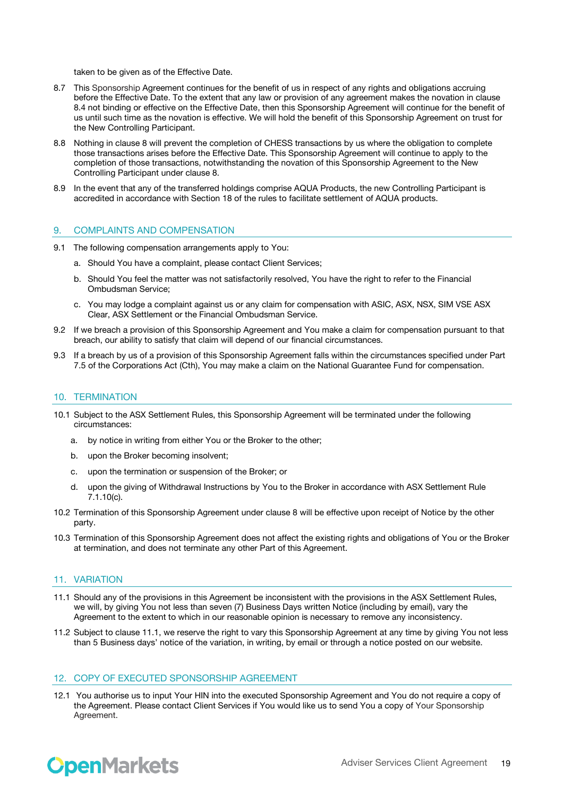taken to be given as of the Effective Date.

- 8.7 This Sponsorship Agreement continues for the benefit of us in respect of any rights and obligations accruing before the Effective Date. To the extent that any law or provision of any agreement makes the novation in clause 8.4 not binding or effective on the Effective Date, then this Sponsorship Agreement will continue for the benefit of us until such time as the novation is effective. We will hold the benefit of this Sponsorship Agreement on trust for the New Controlling Participant.
- 8.8 Nothing in clause 8 will prevent the completion of CHESS transactions by us where the obligation to complete those transactions arises before the Effective Date. This Sponsorship Agreement will continue to apply to the completion of those transactions, notwithstanding the novation of this Sponsorship Agreement to the New Controlling Participant under clause 8.
- 8.9 In the event that any of the transferred holdings comprise AQUA Products, the new Controlling Participant is accredited in accordance with Section 18 of the rules to facilitate settlement of AQUA products.

#### 9. COMPLAINTS AND COMPENSATION

- 9.1 The following compensation arrangements apply to You:
	- a. Should You have a complaint, please contact Client Services;
	- b. Should You feel the matter was not satisfactorily resolved, You have the right to refer to the Financial Ombudsman Service;
	- c. You may lodge a complaint against us or any claim for compensation with ASIC, ASX, NSX, SIM VSE ASX Clear, ASX Settlement or the Financial Ombudsman Service.
- 9.2 If we breach a provision of this Sponsorship Agreement and You make a claim for compensation pursuant to that breach, our ability to satisfy that claim will depend of our financial circumstances.
- 9.3 If a breach by us of a provision of this Sponsorship Agreement falls within the circumstances specified under Part 7.5 of the Corporations Act (Cth), You may make a claim on the National Guarantee Fund for compensation.

#### 10. TERMINATION

- 10.1 Subject to the ASX Settlement Rules, this Sponsorship Agreement will be terminated under the following circumstances:
	- a. by notice in writing from either You or the Broker to the other;
	- b. upon the Broker becoming insolvent;
	- c. upon the termination or suspension of the Broker; or
	- d. upon the giving of Withdrawal Instructions by You to the Broker in accordance with ASX Settlement Rule 7.1.10(c).
- 10.2 Termination of this Sponsorship Agreement under clause 8 will be effective upon receipt of Notice by the other party.
- 10.3 Termination of this Sponsorship Agreement does not affect the existing rights and obligations of You or the Broker at termination, and does not terminate any other Part of this Agreement.

# 11. VARIATION

- 11.1 Should any of the provisions in this Agreement be inconsistent with the provisions in the ASX Settlement Rules, we will, by giving You not less than seven (7) Business Days written Notice (including by email), vary the Agreement to the extent to which in our reasonable opinion is necessary to remove any inconsistency.
- 11.2 Subject to clause 11.1, we reserve the right to vary this Sponsorship Agreement at any time by giving You not less than 5 Business days' notice of the variation, in writing, by email or through a notice posted on our website.

### 12. COPY OF EXECUTED SPONSORSHIP AGREEMENT

12.1 You authorise us to input Your HIN into the executed Sponsorship Agreement and You do not require a copy of the Agreement. Please contact Client Services if You would like us to send You a copy of Your Sponsorship Agreement.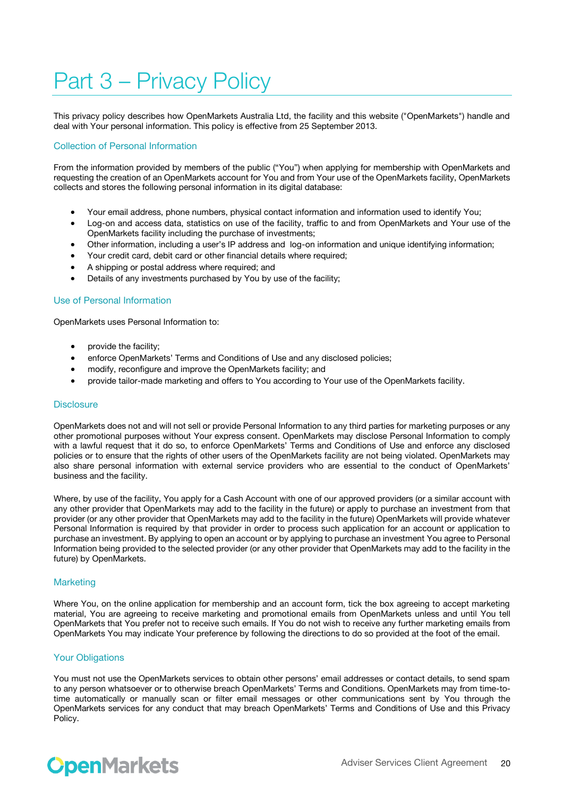# Part 3 – Privacy Policy

This privacy policy describes how OpenMarkets Australia Ltd, the facility and this website ("OpenMarkets") handle and deal with Your personal information. This policy is effective from 25 September 2013.

# Collection of Personal Information

From the information provided by members of the public ("You") when applying for membership with OpenMarkets and requesting the creation of an OpenMarkets account for You and from Your use of the OpenMarkets facility, OpenMarkets collects and stores the following personal information in its digital database:

- Your email address, phone numbers, physical contact information and information used to identify You;
- Log-on and access data, statistics on use of the facility, traffic to and from OpenMarkets and Your use of the OpenMarkets facility including the purchase of investments;
- Other information, including a user's IP address and log-on information and unique identifying information;
- Your credit card, debit card or other financial details where required;
- A shipping or postal address where required; and
- Details of any investments purchased by You by use of the facility;

#### Use of Personal Information

OpenMarkets uses Personal Information to:

- provide the facility;
- enforce OpenMarkets' Terms and Conditions of Use and any disclosed policies;
- modify, reconfigure and improve the OpenMarkets facility; and
- provide tailor-made marketing and offers to You according to Your use of the OpenMarkets facility.

### **Disclosure**

OpenMarkets does not and will not sell or provide Personal Information to any third parties for marketing purposes or any other promotional purposes without Your express consent. OpenMarkets may disclose Personal Information to comply with a lawful request that it do so, to enforce OpenMarkets' Terms and Conditions of Use and enforce any disclosed policies or to ensure that the rights of other users of the OpenMarkets facility are not being violated. OpenMarkets may also share personal information with external service providers who are essential to the conduct of OpenMarkets' business and the facility.

Where, by use of the facility, You apply for a Cash Account with one of our approved providers (or a similar account with any other provider that OpenMarkets may add to the facility in the future) or apply to purchase an investment from that provider (or any other provider that OpenMarkets may add to the facility in the future) OpenMarkets will provide whatever Personal Information is required by that provider in order to process such application for an account or application to purchase an investment. By applying to open an account or by applying to purchase an investment You agree to Personal Information being provided to the selected provider (or any other provider that OpenMarkets may add to the facility in the future) by OpenMarkets.

### **Marketing**

Where You, on the online application for membership and an account form, tick the box agreeing to accept marketing material, You are agreeing to receive marketing and promotional emails from OpenMarkets unless and until You tell OpenMarkets that You prefer not to receive such emails. If You do not wish to receive any further marketing emails from OpenMarkets You may indicate Your preference by following the directions to do so provided at the foot of the email.

### Your Obligations

You must not use the OpenMarkets services to obtain other persons' email addresses or contact details, to send spam to any person whatsoever or to otherwise breach OpenMarkets' Terms and Conditions. OpenMarkets may from time-totime automatically or manually scan or filter email messages or other communications sent by You through the OpenMarkets services for any conduct that may breach OpenMarkets' Terms and Conditions of Use and this Privacy Policy.